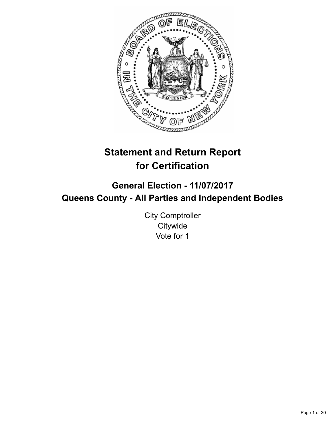

# **Statement and Return Report for Certification**

# **General Election - 11/07/2017 Queens County - All Parties and Independent Bodies**

City Comptroller **Citywide** Vote for 1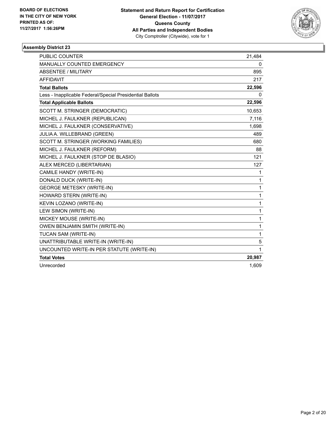

| <b>PUBLIC COUNTER</b>                                    | 21,484 |
|----------------------------------------------------------|--------|
| <b>MANUALLY COUNTED EMERGENCY</b>                        | 0      |
| <b>ABSENTEE / MILITARY</b>                               | 895    |
| <b>AFFIDAVIT</b>                                         | 217    |
| <b>Total Ballots</b>                                     | 22,596 |
| Less - Inapplicable Federal/Special Presidential Ballots | 0      |
| <b>Total Applicable Ballots</b>                          | 22,596 |
| SCOTT M. STRINGER (DEMOCRATIC)                           | 10,653 |
| MICHEL J. FAULKNER (REPUBLICAN)                          | 7,116  |
| MICHEL J. FAULKNER (CONSERVATIVE)                        | 1,698  |
| JULIA A. WILLEBRAND (GREEN)                              | 489    |
| SCOTT M. STRINGER (WORKING FAMILIES)                     | 680    |
| MICHEL J. FAULKNER (REFORM)                              | 88     |
| MICHEL J. FAULKNER (STOP DE BLASIO)                      | 121    |
| ALEX MERCED (LIBERTARIAN)                                | 127    |
| CAMILE HANDY (WRITE-IN)                                  | 1      |
| DONALD DUCK (WRITE-IN)                                   | 1      |
| <b>GEORGE METESKY (WRITE-IN)</b>                         | 1      |
| HOWARD STERN (WRITE-IN)                                  | 1      |
| KEVIN LOZANO (WRITE-IN)                                  | 1      |
| LEW SIMON (WRITE-IN)                                     | 1      |
| MICKEY MOUSE (WRITE-IN)                                  | 1      |
| <b>OWEN BENJAMIN SMITH (WRITE-IN)</b>                    | 1      |
| TUCAN SAM (WRITE-IN)                                     | 1      |
| UNATTRIBUTABLE WRITE-IN (WRITE-IN)                       | 5      |
| UNCOUNTED WRITE-IN PER STATUTE (WRITE-IN)                | 1      |
| <b>Total Votes</b>                                       | 20,987 |
| Unrecorded                                               | 1,609  |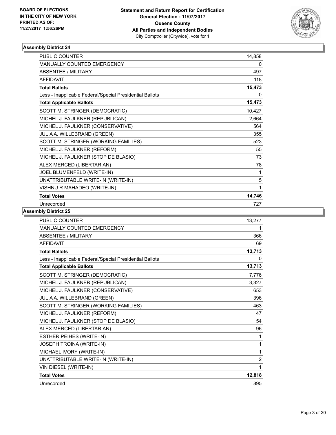

| PUBLIC COUNTER                                           | 14,858 |
|----------------------------------------------------------|--------|
| <b>MANUALLY COUNTED EMERGENCY</b>                        | 0      |
| <b>ABSENTEE / MILITARY</b>                               | 497    |
| <b>AFFIDAVIT</b>                                         | 118    |
| <b>Total Ballots</b>                                     | 15,473 |
| Less - Inapplicable Federal/Special Presidential Ballots | 0      |
| <b>Total Applicable Ballots</b>                          | 15,473 |
| SCOTT M. STRINGER (DEMOCRATIC)                           | 10,427 |
| MICHEL J. FAULKNER (REPUBLICAN)                          | 2,664  |
| MICHEL J. FAULKNER (CONSERVATIVE)                        | 564    |
| JULIA A. WILLEBRAND (GREEN)                              | 355    |
| SCOTT M. STRINGER (WORKING FAMILIES)                     | 523    |
| MICHEL J. FAULKNER (REFORM)                              | 55     |
| MICHEL J. FAULKNER (STOP DE BLASIO)                      | 73     |
| ALEX MERCED (LIBERTARIAN)                                | 78     |
| JOEL BLUMENFELD (WRITE-IN)                               | 1      |
| UNATTRIBUTABLE WRITE-IN (WRITE-IN)                       | 5      |
| VISHNU R MAHADEO (WRITE-IN)                              | 1      |
| <b>Total Votes</b>                                       | 14,746 |
| Unrecorded                                               | 727    |

| <b>PUBLIC COUNTER</b>                                    | 13,277         |
|----------------------------------------------------------|----------------|
| <b>MANUALLY COUNTED EMERGENCY</b>                        | 1              |
| <b>ABSENTEE / MILITARY</b>                               | 366            |
| <b>AFFIDAVIT</b>                                         | 69             |
| <b>Total Ballots</b>                                     | 13,713         |
| Less - Inapplicable Federal/Special Presidential Ballots | 0              |
| <b>Total Applicable Ballots</b>                          | 13,713         |
| SCOTT M. STRINGER (DEMOCRATIC)                           | 7,776          |
| MICHEL J. FAULKNER (REPUBLICAN)                          | 3,327          |
| MICHEL J. FAULKNER (CONSERVATIVE)                        | 653            |
| JULIA A. WILLEBRAND (GREEN)                              | 396            |
| SCOTT M. STRINGER (WORKING FAMILIES)                     | 463            |
| MICHEL J. FAULKNER (REFORM)                              | 47             |
| MICHEL J. FAULKNER (STOP DE BLASIO)                      | 54             |
| ALEX MERCED (LIBERTARIAN)                                | 96             |
| ESTHER PEIHES (WRITE-IN)                                 | 1              |
| JOSEPH TROINA (WRITE-IN)                                 | 1              |
| MICHAEL IVORY (WRITE-IN)                                 | 1              |
| UNATTRIBUTABLE WRITE-IN (WRITE-IN)                       | $\overline{2}$ |
| VIN DIESEL (WRITE-IN)                                    | 1              |
| <b>Total Votes</b>                                       | 12,818         |
| Unrecorded                                               | 895            |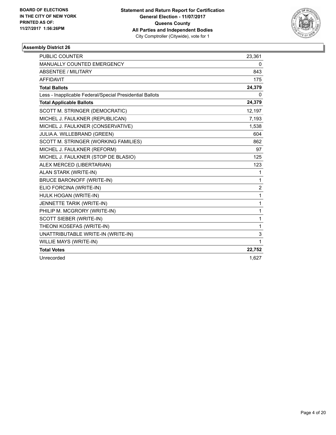

| PUBLIC COUNTER                                           | 23,361         |
|----------------------------------------------------------|----------------|
| MANUALLY COUNTED EMERGENCY                               | 0              |
| <b>ABSENTEE / MILITARY</b>                               | 843            |
| <b>AFFIDAVIT</b>                                         | 175            |
| <b>Total Ballots</b>                                     | 24,379         |
| Less - Inapplicable Federal/Special Presidential Ballots | 0              |
| <b>Total Applicable Ballots</b>                          | 24,379         |
| SCOTT M. STRINGER (DEMOCRATIC)                           | 12,197         |
| MICHEL J. FAULKNER (REPUBLICAN)                          | 7,193          |
| MICHEL J. FAULKNER (CONSERVATIVE)                        | 1,538          |
| JULIA A. WILLEBRAND (GREEN)                              | 604            |
| SCOTT M. STRINGER (WORKING FAMILIES)                     | 862            |
| MICHEL J. FAULKNER (REFORM)                              | 97             |
| MICHEL J. FAULKNER (STOP DE BLASIO)                      | 125            |
| ALEX MERCED (LIBERTARIAN)                                | 123            |
| ALAN STARK (WRITE-IN)                                    | 1              |
| <b>BRUCE BARONOFF (WRITE-IN)</b>                         | 1              |
| ELIO FORCINA (WRITE-IN)                                  | $\overline{2}$ |
| HULK HOGAN (WRITE-IN)                                    | 1              |
| JENNETTE TARIK (WRITE-IN)                                | 1              |
| PHILIP M. MCGRORY (WRITE-IN)                             | 1              |
| SCOTT SIEBER (WRITE-IN)                                  | 1              |
| THEONI KOSEFAS (WRITE-IN)                                | 1              |
| UNATTRIBUTABLE WRITE-IN (WRITE-IN)                       | 3              |
| WILLIE MAYS (WRITE-IN)                                   | 1              |
| <b>Total Votes</b>                                       | 22,752         |
| Unrecorded                                               | 1.627          |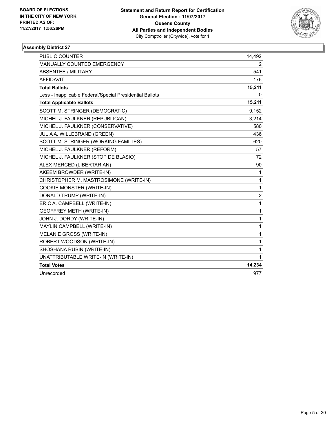

| <b>PUBLIC COUNTER</b>                                    | 14,492         |
|----------------------------------------------------------|----------------|
| <b>MANUALLY COUNTED EMERGENCY</b>                        | 2              |
| ABSENTEE / MILITARY                                      | 541            |
| <b>AFFIDAVIT</b>                                         | 176            |
| <b>Total Ballots</b>                                     | 15,211         |
| Less - Inapplicable Federal/Special Presidential Ballots | 0              |
| <b>Total Applicable Ballots</b>                          | 15,211         |
| SCOTT M. STRINGER (DEMOCRATIC)                           | 9,152          |
| MICHEL J. FAULKNER (REPUBLICAN)                          | 3,214          |
| MICHEL J. FAULKNER (CONSERVATIVE)                        | 580            |
| JULIA A. WILLEBRAND (GREEN)                              | 436            |
| SCOTT M. STRINGER (WORKING FAMILIES)                     | 620            |
| MICHEL J. FAULKNER (REFORM)                              | 57             |
| MICHEL J. FAULKNER (STOP DE BLASIO)                      | 72             |
| ALEX MERCED (LIBERTARIAN)                                | 90             |
| AKEEM BROWDER (WRITE-IN)                                 | 1              |
| CHRISTOPHER M. MASTROSIMONE (WRITE-IN)                   | 1              |
| COOKIE MONSTER (WRITE-IN)                                | 1              |
| DONALD TRUMP (WRITE-IN)                                  | $\overline{2}$ |
| ERIC A. CAMPBELL (WRITE-IN)                              | 1              |
| <b>GEOFFREY METH (WRITE-IN)</b>                          | 1              |
| JOHN J. DORDY (WRITE-IN)                                 | 1              |
| MAYLIN CAMPBELL (WRITE-IN)                               | 1              |
| MELANIE GROSS (WRITE-IN)                                 | 1              |
| ROBERT WOODSON (WRITE-IN)                                | 1              |
| SHOSHANA RUBIN (WRITE-IN)                                | 1              |
| UNATTRIBUTABLE WRITE-IN (WRITE-IN)                       | 1              |
| <b>Total Votes</b>                                       | 14,234         |
| Unrecorded                                               | 977            |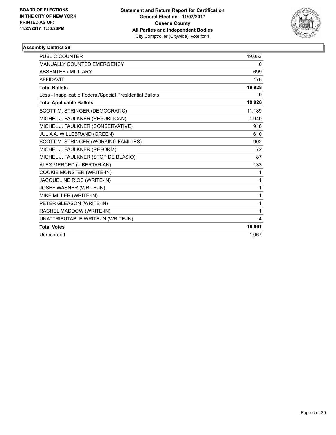

| <b>PUBLIC COUNTER</b>                                    | 19,053 |
|----------------------------------------------------------|--------|
| MANUALLY COUNTED EMERGENCY                               | 0      |
| <b>ABSENTEE / MILITARY</b>                               | 699    |
| <b>AFFIDAVIT</b>                                         | 176    |
| <b>Total Ballots</b>                                     | 19,928 |
| Less - Inapplicable Federal/Special Presidential Ballots | 0      |
| <b>Total Applicable Ballots</b>                          | 19,928 |
| SCOTT M. STRINGER (DEMOCRATIC)                           | 11,189 |
| MICHEL J. FAULKNER (REPUBLICAN)                          | 4,940  |
| MICHEL J. FAULKNER (CONSERVATIVE)                        | 918    |
| JULIA A. WILLEBRAND (GREEN)                              | 610    |
| SCOTT M. STRINGER (WORKING FAMILIES)                     | 902    |
| MICHEL J. FAULKNER (REFORM)                              | 72     |
| MICHEL J. FAULKNER (STOP DE BLASIO)                      | 87     |
| ALEX MERCED (LIBERTARIAN)                                | 133    |
| COOKIE MONSTER (WRITE-IN)                                | 1      |
| JACQUELINE RIOS (WRITE-IN)                               | 1      |
| JOSEF WASNER (WRITE-IN)                                  | 1      |
| MIKE MILLER (WRITE-IN)                                   | 1      |
| PETER GLEASON (WRITE-IN)                                 | 1      |
| RACHEL MADDOW (WRITE-IN)                                 | 1      |
| UNATTRIBUTABLE WRITE-IN (WRITE-IN)                       | 4      |
| <b>Total Votes</b>                                       | 18,861 |
| Unrecorded                                               | 1.067  |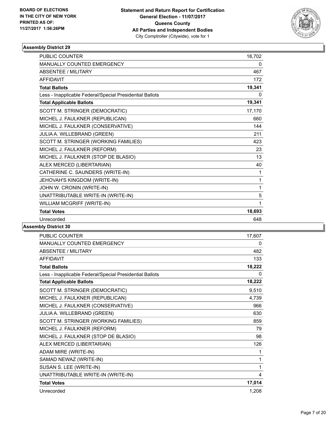

| <b>PUBLIC COUNTER</b>                                    | 18,702 |
|----------------------------------------------------------|--------|
| <b>MANUALLY COUNTED EMERGENCY</b>                        | 0      |
| <b>ABSENTEE / MILITARY</b>                               | 467    |
| <b>AFFIDAVIT</b>                                         | 172    |
| <b>Total Ballots</b>                                     | 19,341 |
| Less - Inapplicable Federal/Special Presidential Ballots | 0      |
| <b>Total Applicable Ballots</b>                          | 19,341 |
| SCOTT M. STRINGER (DEMOCRATIC)                           | 17,170 |
| MICHEL J. FAULKNER (REPUBLICAN)                          | 660    |
| MICHEL J. FAULKNER (CONSERVATIVE)                        | 144    |
| JULIA A. WILLEBRAND (GREEN)                              | 211    |
| SCOTT M. STRINGER (WORKING FAMILIES)                     | 423    |
| MICHEL J. FAULKNER (REFORM)                              | 23     |
| MICHEL J. FAULKNER (STOP DE BLASIO)                      | 13     |
| ALEX MERCED (LIBERTARIAN)                                | 40     |
| CATHERINE C. SAUNDERS (WRITE-IN)                         | 1      |
| JEHOVAH'S KINGDOM (WRITE-IN)                             | 1      |
| JOHN W. CRONIN (WRITE-IN)                                | 1      |
| UNATTRIBUTABLE WRITE-IN (WRITE-IN)                       | 5      |
| WILLIAM MCGRIFF (WRITE-IN)                               | 1      |
| <b>Total Votes</b>                                       | 18,693 |
| Unrecorded                                               | 648    |
|                                                          |        |

| PUBLIC COUNTER                                           | 17,607 |
|----------------------------------------------------------|--------|
| <b>MANUALLY COUNTED EMERGENCY</b>                        | 0      |
| <b>ABSENTEE / MILITARY</b>                               | 482    |
| <b>AFFIDAVIT</b>                                         | 133    |
| <b>Total Ballots</b>                                     | 18,222 |
| Less - Inapplicable Federal/Special Presidential Ballots | 0      |
| <b>Total Applicable Ballots</b>                          | 18,222 |
| SCOTT M. STRINGER (DEMOCRATIC)                           | 9,510  |
| MICHEL J. FAULKNER (REPUBLICAN)                          | 4,739  |
| MICHEL J. FAULKNER (CONSERVATIVE)                        | 966    |
| JULIA A. WILLEBRAND (GREEN)                              | 630    |
| SCOTT M. STRINGER (WORKING FAMILIES)                     | 859    |
| MICHEL J. FAULKNER (REFORM)                              | 79     |
| MICHEL J. FAULKNER (STOP DE BLASIO)                      | 98     |
| ALEX MERCED (LIBERTARIAN)                                | 126    |
| ADAM MIRE (WRITE-IN)                                     | 1      |
| SAMAD NEWAZ (WRITE-IN)                                   | 1      |
| SUSAN S. LEE (WRITE-IN)                                  | 1      |
| UNATTRIBUTABLE WRITE-IN (WRITE-IN)                       | 4      |
| <b>Total Votes</b>                                       | 17,014 |
| Unrecorded                                               | 1,208  |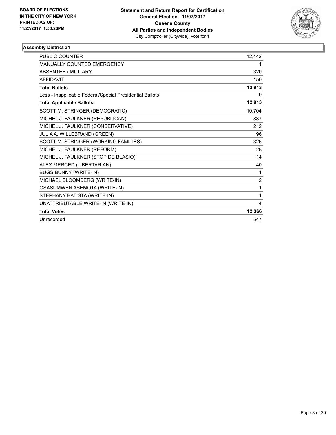

| PUBLIC COUNTER                                           | 12,442         |
|----------------------------------------------------------|----------------|
| <b>MANUALLY COUNTED EMERGENCY</b>                        | 1              |
| <b>ABSENTEE / MILITARY</b>                               | 320            |
| <b>AFFIDAVIT</b>                                         | 150            |
| <b>Total Ballots</b>                                     | 12,913         |
| Less - Inapplicable Federal/Special Presidential Ballots | 0              |
| <b>Total Applicable Ballots</b>                          | 12,913         |
| SCOTT M. STRINGER (DEMOCRATIC)                           | 10,704         |
| MICHEL J. FAULKNER (REPUBLICAN)                          | 837            |
| MICHEL J. FAULKNER (CONSERVATIVE)                        | 212            |
| JULIA A. WILLEBRAND (GREEN)                              | 196            |
| SCOTT M. STRINGER (WORKING FAMILIES)                     | 326            |
| MICHEL J. FAULKNER (REFORM)                              | 28             |
| MICHEL J. FAULKNER (STOP DE BLASIO)                      | 14             |
| ALEX MERCED (LIBERTARIAN)                                | 40             |
| <b>BUGS BUNNY (WRITE-IN)</b>                             | 1              |
| MICHAEL BLOOMBERG (WRITE-IN)                             | $\overline{2}$ |
| OSASUMWEN ASEMOTA (WRITE-IN)                             | $\mathbf{1}$   |
| STEPHANY BATISTA (WRITE-IN)                              | 1              |
| UNATTRIBUTABLE WRITE-IN (WRITE-IN)                       | 4              |
| <b>Total Votes</b>                                       | 12,366         |
| Unrecorded                                               | 547            |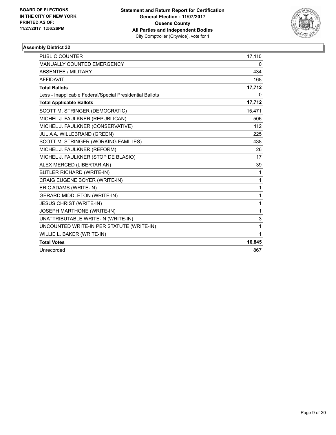

| <b>PUBLIC COUNTER</b>                                    | 17,110       |
|----------------------------------------------------------|--------------|
| <b>MANUALLY COUNTED EMERGENCY</b>                        | 0            |
| <b>ABSENTEE / MILITARY</b>                               | 434          |
| <b>AFFIDAVIT</b>                                         | 168          |
| <b>Total Ballots</b>                                     | 17,712       |
| Less - Inapplicable Federal/Special Presidential Ballots | 0            |
| <b>Total Applicable Ballots</b>                          | 17,712       |
| SCOTT M. STRINGER (DEMOCRATIC)                           | 15.471       |
| MICHEL J. FAULKNER (REPUBLICAN)                          | 506          |
| MICHEL J. FAULKNER (CONSERVATIVE)                        | 112          |
| JULIA A. WILLEBRAND (GREEN)                              | 225          |
| SCOTT M. STRINGER (WORKING FAMILIES)                     | 438          |
| MICHEL J. FAULKNER (REFORM)                              | 26           |
| MICHEL J. FAULKNER (STOP DE BLASIO)                      | 17           |
| ALEX MERCED (LIBERTARIAN)                                | 39           |
| <b>BUTLER RICHARD (WRITE-IN)</b>                         | $\mathbf{1}$ |
| CRAIG EUGENE BOYER (WRITE-IN)                            | $\mathbf{1}$ |
| ERIC ADAMS (WRITE-IN)                                    | $\mathbf{1}$ |
| <b>GERARD MIDDLETON (WRITE-IN)</b>                       | $\mathbf{1}$ |
| <b>JESUS CHRIST (WRITE-IN)</b>                           | $\mathbf 1$  |
| JOSEPH MARTHONE (WRITE-IN)                               | $\mathbf{1}$ |
| UNATTRIBUTABLE WRITE-IN (WRITE-IN)                       | 3            |
| UNCOUNTED WRITE-IN PER STATUTE (WRITE-IN)                | 1            |
| WILLIE L. BAKER (WRITE-IN)                               | $\mathbf{1}$ |
| <b>Total Votes</b>                                       | 16,845       |
| Unrecorded                                               | 867          |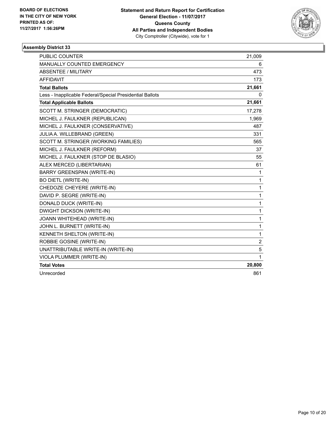

| <b>PUBLIC COUNTER</b>                                    | 21,009         |
|----------------------------------------------------------|----------------|
| <b>MANUALLY COUNTED EMERGENCY</b>                        | 6              |
| ABSENTEE / MILITARY                                      | 473            |
| <b>AFFIDAVIT</b>                                         | 173            |
| <b>Total Ballots</b>                                     | 21,661         |
| Less - Inapplicable Federal/Special Presidential Ballots | 0              |
| <b>Total Applicable Ballots</b>                          | 21,661         |
| SCOTT M. STRINGER (DEMOCRATIC)                           | 17,278         |
| MICHEL J. FAULKNER (REPUBLICAN)                          | 1,969          |
| MICHEL J. FAULKNER (CONSERVATIVE)                        | 487            |
| JULIA A. WILLEBRAND (GREEN)                              | 331            |
| SCOTT M. STRINGER (WORKING FAMILIES)                     | 565            |
| MICHEL J. FAULKNER (REFORM)                              | 37             |
| MICHEL J. FAULKNER (STOP DE BLASIO)                      | 55             |
| ALEX MERCED (LIBERTARIAN)                                | 61             |
| <b>BARRY GREENSPAN (WRITE-IN)</b>                        | 1              |
| <b>BO DIETL (WRITE-IN)</b>                               | $\mathbf{1}$   |
| CHEDOZE CHEYERE (WRITE-IN)                               | 1              |
| DAVID P. SEGRE (WRITE-IN)                                | 1              |
| DONALD DUCK (WRITE-IN)                                   | 1              |
| <b>DWIGHT DICKSON (WRITE-IN)</b>                         | 1              |
| JOANN WHITEHEAD (WRITE-IN)                               | 1              |
| JOHN L. BURNETT (WRITE-IN)                               | 1              |
| KENNETH SHELTON (WRITE-IN)                               | 1              |
| ROBBIE GOSINE (WRITE-IN)                                 | $\overline{2}$ |
| UNATTRIBUTABLE WRITE-IN (WRITE-IN)                       | 5              |
| VIOLA PLUMMER (WRITE-IN)                                 | 1              |
| <b>Total Votes</b>                                       | 20,800         |
| Unrecorded                                               | 861            |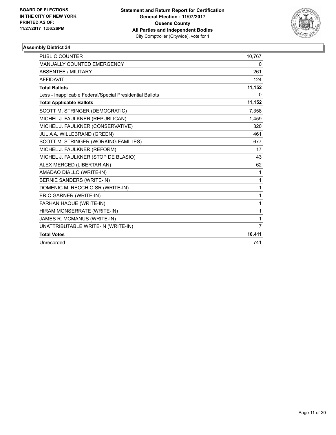

| PUBLIC COUNTER                                           | 10,767         |
|----------------------------------------------------------|----------------|
| MANUALLY COUNTED EMERGENCY                               | 0              |
| <b>ABSENTEE / MILITARY</b>                               | 261            |
| <b>AFFIDAVIT</b>                                         | 124            |
| <b>Total Ballots</b>                                     | 11,152         |
| Less - Inapplicable Federal/Special Presidential Ballots | 0              |
| <b>Total Applicable Ballots</b>                          | 11,152         |
| SCOTT M. STRINGER (DEMOCRATIC)                           | 7,358          |
| MICHEL J. FAULKNER (REPUBLICAN)                          | 1,459          |
| MICHEL J. FAULKNER (CONSERVATIVE)                        | 320            |
| JULIA A. WILLEBRAND (GREEN)                              | 461            |
| SCOTT M. STRINGER (WORKING FAMILIES)                     | 677            |
| MICHEL J. FAULKNER (REFORM)                              | 17             |
| MICHEL J. FAULKNER (STOP DE BLASIO)                      | 43             |
| ALEX MERCED (LIBERTARIAN)                                | 62             |
| AMADAO DIALLO (WRITE-IN)                                 | 1              |
| BERNIE SANDERS (WRITE-IN)                                | 1              |
| DOMENIC M. RECCHIO SR (WRITE-IN)                         | 1              |
| ERIC GARNER (WRITE-IN)                                   | 1              |
| FARHAN HAQUE (WRITE-IN)                                  | 1              |
| HIRAM MONSERRATE (WRITE-IN)                              | 1              |
| JAMES R. MCMANUS (WRITE-IN)                              | 1              |
| UNATTRIBUTABLE WRITE-IN (WRITE-IN)                       | $\overline{7}$ |
| <b>Total Votes</b>                                       | 10,411         |
| Unrecorded                                               | 741            |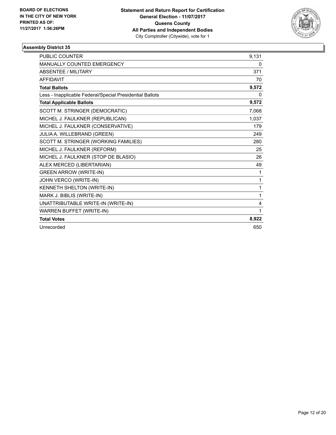

| PUBLIC COUNTER                                           | 9,131 |
|----------------------------------------------------------|-------|
| MANUALLY COUNTED EMERGENCY                               | 0     |
| <b>ABSENTEE / MILITARY</b>                               | 371   |
| <b>AFFIDAVIT</b>                                         | 70    |
| <b>Total Ballots</b>                                     | 9,572 |
| Less - Inapplicable Federal/Special Presidential Ballots | 0     |
| <b>Total Applicable Ballots</b>                          | 9,572 |
| SCOTT M. STRINGER (DEMOCRATIC)                           | 7,068 |
| MICHEL J. FAULKNER (REPUBLICAN)                          | 1,037 |
| MICHEL J. FAULKNER (CONSERVATIVE)                        | 179   |
| JULIA A. WILLEBRAND (GREEN)                              | 249   |
| SCOTT M. STRINGER (WORKING FAMILIES)                     | 280   |
| MICHEL J. FAULKNER (REFORM)                              | 25    |
| MICHEL J. FAULKNER (STOP DE BLASIO)                      | 26    |
| ALEX MERCED (LIBERTARIAN)                                | 49    |
| <b>GREEN ARROW (WRITE-IN)</b>                            | 1     |
| JOHN VERCO (WRITE-IN)                                    | 1     |
| KENNETH SHELTON (WRITE-IN)                               | 1     |
| MARK J. BIBLIS (WRITE-IN)                                | 1     |
| UNATTRIBUTABLE WRITE-IN (WRITE-IN)                       | 4     |
| WARREN BUFFET (WRITE-IN)                                 | 1     |
| <b>Total Votes</b>                                       | 8,922 |
| Unrecorded                                               | 650   |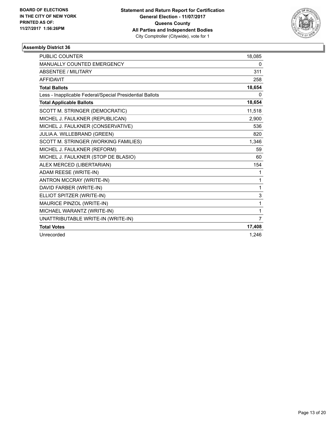

| <b>PUBLIC COUNTER</b>                                    | 18,085         |
|----------------------------------------------------------|----------------|
| <b>MANUALLY COUNTED EMERGENCY</b>                        | 0              |
| <b>ABSENTEE / MILITARY</b>                               | 311            |
| <b>AFFIDAVIT</b>                                         | 258            |
| <b>Total Ballots</b>                                     | 18,654         |
| Less - Inapplicable Federal/Special Presidential Ballots | $\Omega$       |
| <b>Total Applicable Ballots</b>                          | 18,654         |
| SCOTT M. STRINGER (DEMOCRATIC)                           | 11,518         |
| MICHEL J. FAULKNER (REPUBLICAN)                          | 2.900          |
| MICHEL J. FAULKNER (CONSERVATIVE)                        | 536            |
| JULIA A. WILLEBRAND (GREEN)                              | 820            |
| SCOTT M. STRINGER (WORKING FAMILIES)                     | 1,346          |
| MICHEL J. FAULKNER (REFORM)                              | 59             |
| MICHEL J. FAULKNER (STOP DE BLASIO)                      | 60             |
| ALEX MERCED (LIBERTARIAN)                                | 154            |
| ADAM REESE (WRITE-IN)                                    | 1              |
| ANTRON MCCRAY (WRITE-IN)                                 | 1              |
| DAVID FARBER (WRITE-IN)                                  | 1              |
| ELLIOT SPITZER (WRITE-IN)                                | 3              |
| MAURICE PINZOL (WRITE-IN)                                | 1              |
| MICHAEL WARANTZ (WRITE-IN)                               | 1              |
| UNATTRIBUTABLE WRITE-IN (WRITE-IN)                       | $\overline{7}$ |
| <b>Total Votes</b>                                       | 17,408         |
| Unrecorded                                               | 1,246          |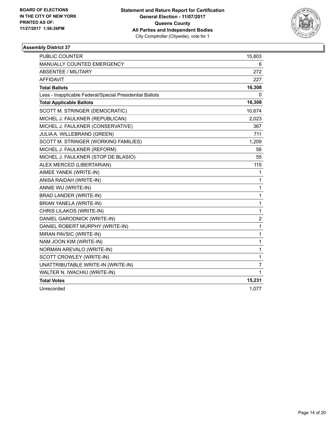

| <b>PUBLIC COUNTER</b>                                    | 15,803      |
|----------------------------------------------------------|-------------|
| MANUALLY COUNTED EMERGENCY                               | 6           |
| <b>ABSENTEE / MILITARY</b>                               | 272         |
| <b>AFFIDAVIT</b>                                         | 227         |
| <b>Total Ballots</b>                                     | 16,308      |
| Less - Inapplicable Federal/Special Presidential Ballots | 0           |
| <b>Total Applicable Ballots</b>                          | 16,308      |
| SCOTT M. STRINGER (DEMOCRATIC)                           | 10,674      |
| MICHEL J. FAULKNER (REPUBLICAN)                          | 2,023       |
| MICHEL J. FAULKNER (CONSERVATIVE)                        | 367         |
| JULIA A. WILLEBRAND (GREEN)                              | 711         |
| SCOTT M. STRINGER (WORKING FAMILIES)                     | 1,209       |
| MICHEL J. FAULKNER (REFORM)                              | 56          |
| MICHEL J. FAULKNER (STOP DE BLASIO)                      | 55          |
| ALEX MERCED (LIBERTARIAN)                                | 115         |
| AIMEE YANEK (WRITE-IN)                                   | 1           |
| ANISA RAIDAH (WRITE-IN)                                  | 1           |
| ANNIE WU (WRITE-IN)                                      | 1           |
| BRAD LANDER (WRITE-IN)                                   | 1           |
| BRIAN YANELA (WRITE-IN)                                  | 1           |
| CHRIS LILAKOS (WRITE-IN)                                 | 1           |
| DANIEL GARODNICK (WRITE-IN)                              | $\mathbf 2$ |
| DANIEL ROBERT MURPHY (WRITE-IN)                          | 1           |
| MIRAN PAVSIC (WRITE-IN)                                  | 1           |
| NAM JOON KIM (WRITE-IN)                                  | 1           |
| NORMAN AREVALO (WRITE-IN)                                | 1           |
| SCOTT CROWLEY (WRITE-IN)                                 | 1           |
| UNATTRIBUTABLE WRITE-IN (WRITE-IN)                       | 7           |
| WALTER N. IWACHIU (WRITE-IN)                             | 1           |
| <b>Total Votes</b>                                       | 15,231      |
| Unrecorded                                               | 1,077       |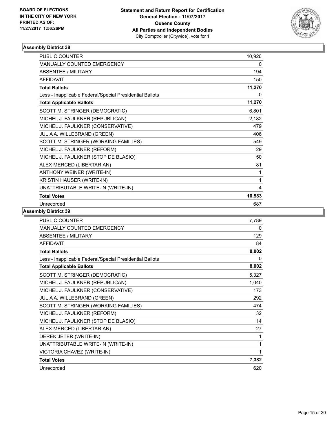

| <b>PUBLIC COUNTER</b>                                    | 10,926 |
|----------------------------------------------------------|--------|
| <b>MANUALLY COUNTED EMERGENCY</b>                        | 0      |
| <b>ABSENTEE / MILITARY</b>                               | 194    |
| <b>AFFIDAVIT</b>                                         | 150    |
| <b>Total Ballots</b>                                     | 11,270 |
| Less - Inapplicable Federal/Special Presidential Ballots | 0      |
| <b>Total Applicable Ballots</b>                          | 11,270 |
| SCOTT M. STRINGER (DEMOCRATIC)                           | 6,801  |
| MICHEL J. FAULKNER (REPUBLICAN)                          | 2,182  |
| MICHEL J. FAULKNER (CONSERVATIVE)                        | 479    |
| JULIA A. WILLEBRAND (GREEN)                              | 406    |
| SCOTT M. STRINGER (WORKING FAMILIES)                     | 549    |
| MICHEL J. FAULKNER (REFORM)                              | 29     |
| MICHEL J. FAULKNER (STOP DE BLASIO)                      | 50     |
| ALEX MERCED (LIBERTARIAN)                                | 81     |
| ANTHONY WEINER (WRITE-IN)                                | 1      |
| KRISTIN HAUSER (WRITE-IN)                                | 1      |
| UNATTRIBUTABLE WRITE-IN (WRITE-IN)                       | 4      |
| <b>Total Votes</b>                                       | 10,583 |
| Unrecorded                                               | 687    |

| <b>PUBLIC COUNTER</b>                                    | 7,789 |
|----------------------------------------------------------|-------|
| <b>MANUALLY COUNTED EMERGENCY</b>                        | 0     |
| ABSENTEE / MILITARY                                      | 129   |
| <b>AFFIDAVIT</b>                                         | 84    |
| <b>Total Ballots</b>                                     | 8,002 |
| Less - Inapplicable Federal/Special Presidential Ballots | 0     |
| <b>Total Applicable Ballots</b>                          | 8,002 |
| SCOTT M. STRINGER (DEMOCRATIC)                           | 5,327 |
| MICHEL J. FAULKNER (REPUBLICAN)                          | 1,040 |
| MICHEL J. FAULKNER (CONSERVATIVE)                        | 173   |
| JULIA A. WILLEBRAND (GREEN)                              | 292   |
| SCOTT M. STRINGER (WORKING FAMILIES)                     | 474   |
| MICHEL J. FAULKNER (REFORM)                              | 32    |
| MICHEL J. FAULKNER (STOP DE BLASIO)                      | 14    |
| ALEX MERCED (LIBERTARIAN)                                | 27    |
| DEREK JETER (WRITE-IN)                                   | 1     |
| UNATTRIBUTABLE WRITE-IN (WRITE-IN)                       | 1     |
| VICTORIA CHAVEZ (WRITE-IN)                               | 1     |
| <b>Total Votes</b>                                       | 7,382 |
| Unrecorded                                               | 620   |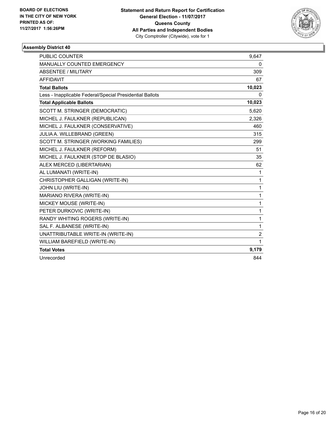

| <b>PUBLIC COUNTER</b>                                    | 9.647          |
|----------------------------------------------------------|----------------|
| MANUALLY COUNTED EMERGENCY                               | 0              |
| <b>ABSENTEE / MILITARY</b>                               | 309            |
| <b>AFFIDAVIT</b>                                         | 67             |
| <b>Total Ballots</b>                                     | 10,023         |
| Less - Inapplicable Federal/Special Presidential Ballots | 0              |
| <b>Total Applicable Ballots</b>                          | 10,023         |
| SCOTT M. STRINGER (DEMOCRATIC)                           | 5,620          |
| MICHEL J. FAULKNER (REPUBLICAN)                          | 2,326          |
| MICHEL J. FAULKNER (CONSERVATIVE)                        | 460            |
| JULIA A. WILLEBRAND (GREEN)                              | 315            |
| SCOTT M. STRINGER (WORKING FAMILIES)                     | 299            |
| MICHEL J. FAULKNER (REFORM)                              | 51             |
| MICHEL J. FAULKNER (STOP DE BLASIO)                      | 35             |
| ALEX MERCED (LIBERTARIAN)                                | 62             |
| AL LUMANATI (WRITE-IN)                                   | 1              |
| CHRISTOPHER GALLIGAN (WRITE-IN)                          | 1              |
| JOHN LIU (WRITE-IN)                                      | $\mathbf{1}$   |
| MARIANO RIVERA (WRITE-IN)                                | 1              |
| MICKEY MOUSE (WRITE-IN)                                  | 1              |
| PETER DURKOVIC (WRITE-IN)                                | $\mathbf{1}$   |
| RANDY WHITING ROGERS (WRITE-IN)                          | 1              |
| SAL F. ALBANESE (WRITE-IN)                               | 1              |
| UNATTRIBUTABLE WRITE-IN (WRITE-IN)                       | $\overline{2}$ |
| WILLIAM BAREFIELD (WRITE-IN)                             | 1              |
| <b>Total Votes</b>                                       | 9,179          |
| Unrecorded                                               | 844            |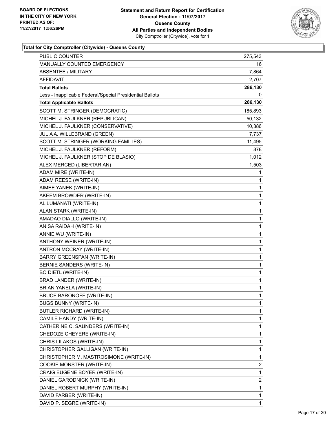

# **Total for City Comptroller (Citywide) - Queens County**

| <b>PUBLIC COUNTER</b>                                    | 275,543      |
|----------------------------------------------------------|--------------|
| <b>MANUALLY COUNTED EMERGENCY</b>                        | 16           |
| <b>ABSENTEE / MILITARY</b>                               | 7,864        |
| AFFIDAVIT                                                | 2,707        |
| <b>Total Ballots</b>                                     | 286,130      |
| Less - Inapplicable Federal/Special Presidential Ballots | 0            |
| <b>Total Applicable Ballots</b>                          | 286,130      |
| SCOTT M. STRINGER (DEMOCRATIC)                           | 185,893      |
| MICHEL J. FAULKNER (REPUBLICAN)                          | 50,132       |
| MICHEL J. FAULKNER (CONSERVATIVE)                        | 10,386       |
| JULIA A. WILLEBRAND (GREEN)                              | 7,737        |
| SCOTT M. STRINGER (WORKING FAMILIES)                     | 11,495       |
| MICHEL J. FAULKNER (REFORM)                              | 878          |
| MICHEL J. FAULKNER (STOP DE BLASIO)                      | 1,012        |
| ALEX MERCED (LIBERTARIAN)                                | 1,503        |
| ADAM MIRE (WRITE-IN)                                     | 1            |
| ADAM REESE (WRITE-IN)                                    | 1            |
| AIMEE YANEK (WRITE-IN)                                   | 1            |
| AKEEM BROWDER (WRITE-IN)                                 | 1            |
| AL LUMANATI (WRITE-IN)                                   | 1            |
| ALAN STARK (WRITE-IN)                                    | 1            |
| AMADAO DIALLO (WRITE-IN)                                 | 1            |
| ANISA RAIDAH (WRITE-IN)                                  | 1            |
| ANNIE WU (WRITE-IN)                                      | 1            |
| ANTHONY WEINER (WRITE-IN)                                | 1            |
| ANTRON MCCRAY (WRITE-IN)                                 | 1            |
| BARRY GREENSPAN (WRITE-IN)                               | 1            |
| BERNIE SANDERS (WRITE-IN)                                | 1            |
| <b>BO DIETL (WRITE-IN)</b>                               | 1            |
| BRAD LANDER (WRITE-IN)                                   | 1            |
| BRIAN YANELA (WRITE-IN)                                  | 1            |
| <b>BRUCE BARONOFF (WRITE-IN)</b>                         | $\mathbf{1}$ |
| <b>BUGS BUNNY (WRITE-IN)</b>                             | 1            |
| BUTLER RICHARD (WRITE-IN)                                | 1            |
| CAMILE HANDY (WRITE-IN)                                  | 1            |
| CATHERINE C. SAUNDERS (WRITE-IN)                         | 1            |
| CHEDOZE CHEYERE (WRITE-IN)                               | 1            |
| CHRIS LILAKOS (WRITE-IN)                                 | 1            |
| CHRISTOPHER GALLIGAN (WRITE-IN)                          | 1            |
| CHRISTOPHER M. MASTROSIMONE (WRITE-IN)                   | 1            |
| COOKIE MONSTER (WRITE-IN)                                | 2            |
| CRAIG EUGENE BOYER (WRITE-IN)                            | 1            |
| DANIEL GARODNICK (WRITE-IN)                              | 2            |
| DANIEL ROBERT MURPHY (WRITE-IN)                          | 1            |
| DAVID FARBER (WRITE-IN)                                  | 1            |
| DAVID P. SEGRE (WRITE-IN)                                | 1            |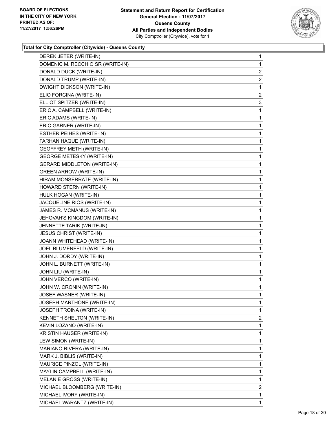

# **Total for City Comptroller (Citywide) - Queens County**

| DEREK JETER (WRITE-IN)             | 1              |
|------------------------------------|----------------|
| DOMENIC M. RECCHIO SR (WRITE-IN)   | 1              |
| DONALD DUCK (WRITE-IN)             | 2              |
| DONALD TRUMP (WRITE-IN)            | 2              |
| DWIGHT DICKSON (WRITE-IN)          | 1              |
| ELIO FORCINA (WRITE-IN)            | $\mathbf{2}$   |
| ELLIOT SPITZER (WRITE-IN)          | 3              |
| ERIC A. CAMPBELL (WRITE-IN)        | 1              |
| ERIC ADAMS (WRITE-IN)              | 1              |
| ERIC GARNER (WRITE-IN)             | 1              |
| ESTHER PEIHES (WRITE-IN)           | 1              |
| FARHAN HAQUE (WRITE-IN)            | 1              |
| <b>GEOFFREY METH (WRITE-IN)</b>    | 1              |
| <b>GEORGE METESKY (WRITE-IN)</b>   | 1              |
| <b>GERARD MIDDLETON (WRITE-IN)</b> | 1              |
| <b>GREEN ARROW (WRITE-IN)</b>      | 1              |
| HIRAM MONSERRATE (WRITE-IN)        | 1              |
| HOWARD STERN (WRITE-IN)            | 1              |
| HULK HOGAN (WRITE-IN)              | 1              |
| JACQUELINE RIOS (WRITE-IN)         | 1              |
| JAMES R. MCMANUS (WRITE-IN)        | 1              |
| JEHOVAH'S KINGDOM (WRITE-IN)       | 1              |
| JENNETTE TARIK (WRITE-IN)          | 1              |
| JESUS CHRIST (WRITE-IN)            | 1              |
| JOANN WHITEHEAD (WRITE-IN)         | 1              |
| JOEL BLUMENFELD (WRITE-IN)         | 1              |
| JOHN J. DORDY (WRITE-IN)           | 1              |
| JOHN L. BURNETT (WRITE-IN)         | 1              |
| JOHN LIU (WRITE-IN)                | 1              |
| JOHN VERCO (WRITE-IN)              | 1              |
| JOHN W. CRONIN (WRITE-IN)          | 1              |
| JOSEF WASNER (WRITE-IN)            | 1              |
| JOSEPH MARTHONE (WRITE-IN)         | 1              |
| JOSEPH TROINA (WRITE-IN)           | 1              |
| KENNETH SHELTON (WRITE-IN)         | $\overline{2}$ |
| KEVIN LOZANO (WRITE-IN)            | 1              |
| KRISTIN HAUSER (WRITE-IN)          | 1              |
| LEW SIMON (WRITE-IN)               | 1              |
| MARIANO RIVERA (WRITE-IN)          | 1              |
| MARK J. BIBLIS (WRITE-IN)          | 1              |
| MAURICE PINZOL (WRITE-IN)          | 1              |
| MAYLIN CAMPBELL (WRITE-IN)         | 1              |
| MELANIE GROSS (WRITE-IN)           | 1              |
| MICHAEL BLOOMBERG (WRITE-IN)       | 2              |
| MICHAEL IVORY (WRITE-IN)           | 1              |
| MICHAEL WARANTZ (WRITE-IN)         | $\mathbf{1}$   |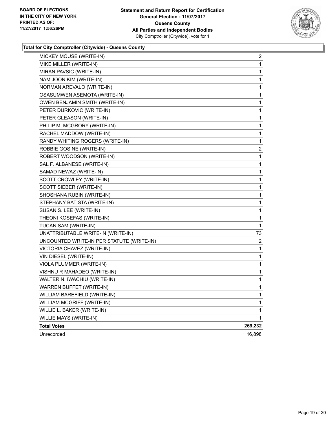

# **Total for City Comptroller (Citywide) - Queens County**

| MICKEY MOUSE (WRITE-IN)                   | 2       |
|-------------------------------------------|---------|
| MIKE MILLER (WRITE-IN)                    | 1       |
| MIRAN PAVSIC (WRITE-IN)                   | 1       |
| NAM JOON KIM (WRITE-IN)                   | 1       |
| NORMAN AREVALO (WRITE-IN)                 | 1       |
| OSASUMWEN ASEMOTA (WRITE-IN)              | 1       |
| OWEN BENJAMIN SMITH (WRITE-IN)            | 1       |
| PETER DURKOVIC (WRITE-IN)                 | 1       |
| PETER GLEASON (WRITE-IN)                  | 1       |
| PHILIP M. MCGRORY (WRITE-IN)              | 1       |
| RACHEL MADDOW (WRITE-IN)                  | 1       |
| RANDY WHITING ROGERS (WRITE-IN)           | 1       |
| ROBBIE GOSINE (WRITE-IN)                  | 2       |
| ROBERT WOODSON (WRITE-IN)                 | 1       |
| SAL F. ALBANESE (WRITE-IN)                | 1       |
| SAMAD NEWAZ (WRITE-IN)                    | 1       |
| SCOTT CROWLEY (WRITE-IN)                  | 1       |
| SCOTT SIEBER (WRITE-IN)                   | 1       |
| SHOSHANA RUBIN (WRITE-IN)                 | 1       |
| STEPHANY BATISTA (WRITE-IN)               | 1       |
| SUSAN S. LEE (WRITE-IN)                   | 1       |
| THEONI KOSEFAS (WRITE-IN)                 | 1       |
| TUCAN SAM (WRITE-IN)                      | 1       |
| UNATTRIBUTABLE WRITE-IN (WRITE-IN)        | 73      |
| UNCOUNTED WRITE-IN PER STATUTE (WRITE-IN) | 2       |
| VICTORIA CHAVEZ (WRITE-IN)                | 1       |
| VIN DIESEL (WRITE-IN)                     | 1       |
| VIOLA PLUMMER (WRITE-IN)                  | 1       |
| VISHNU R MAHADEO (WRITE-IN)               | 1       |
| WALTER N. IWACHIU (WRITE-IN)              | 1       |
| WARREN BUFFET (WRITE-IN)                  | 1       |
| WILLIAM BAREFIELD (WRITE-IN)              | 1       |
| WILLIAM MCGRIFF (WRITE-IN)                | 1       |
| WILLIE L. BAKER (WRITE-IN)                | 1       |
| WILLIE MAYS (WRITE-IN)                    | 1       |
| <b>Total Votes</b>                        | 269,232 |
| Unrecorded                                | 16,898  |